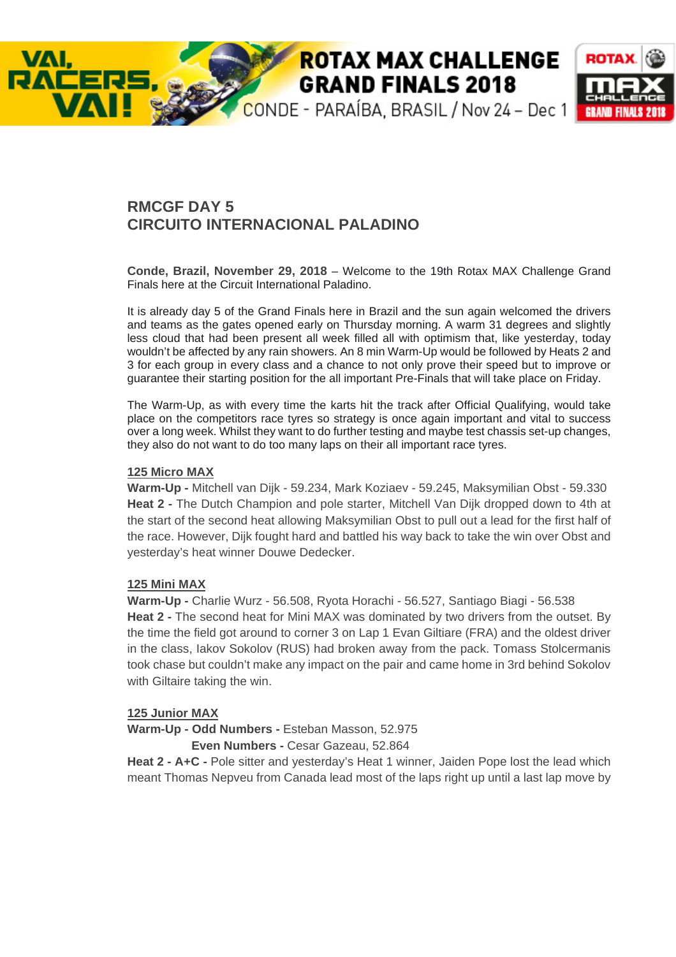# **ROTAX MAX CHALLENGE GRAND FINALS 2018**



# **RMCGF DAY 5 CIRCUITO INTERNACIONAL PALADINO**

**Conde, Brazil, November 29, 2018** – Welcome to the 19th Rotax MAX Challenge Grand Finals here at the Circuit International Paladino.

It is already day 5 of the Grand Finals here in Brazil and the sun again welcomed the drivers and teams as the gates opened early on Thursday morning. A warm 31 degrees and slightly less cloud that had been present all week filled all with optimism that, like yesterday, today wouldn't be affected by any rain showers. An 8 min Warm-Up would be followed by Heats 2 and 3 for each group in every class and a chance to not only prove their speed but to improve or guarantee their starting position for the all important Pre-Finals that will take place on Friday.

The Warm-Up, as with every time the karts hit the track after Official Qualifying, would take place on the competitors race tyres so strategy is once again important and vital to success over a long week. Whilst they want to do further testing and maybe test chassis set-up changes, they also do not want to do too many laps on their all important race tyres.

#### **125 Micro MAX**

VAI.

**Warm-Up -** Mitchell van Dijk - 59.234, Mark Koziaev - 59.245, Maksymilian Obst - 59.330 **Heat 2 - The Dutch Champion and pole starter, Mitchell Van Dijk dropped down to 4th at** the start of the second heat allowing Maksymilian Obst to pull out a lead for the first half of the race. However, Dijk fought hard and battled his way back to take the win over Obst and yesterday's heat winner Douwe Dedecker.

# **125 Mini MAX**

**Warm-Up -** Charlie Wurz - 56.508, Ryota Horachi - 56.527, Santiago Biagi - 56.538 **Heat 2 -** The second heat for Mini MAX was dominated by two drivers from the outset. By the time the field got around to corner 3 on Lap 1 Evan Giltiare (FRA) and the oldest driver in the class, Iakov Sokolov (RUS) had broken away from the pack. Tomass Stolcermanis took chase but couldn't make any impact on the pair and came home in 3rd behind Sokolov with Giltaire taking the win.

# **125 Junior MAX**

**Warm-Up - Odd Numbers -** Esteban Masson, 52.975

 **Even Numbers -** Cesar Gazeau, 52.864

**Heat 2 - A+C -** Pole sitter and yesterday's Heat 1 winner, Jaiden Pope lost the lead which meant Thomas Nepveu from Canada lead most of the laps right up until a last lap move by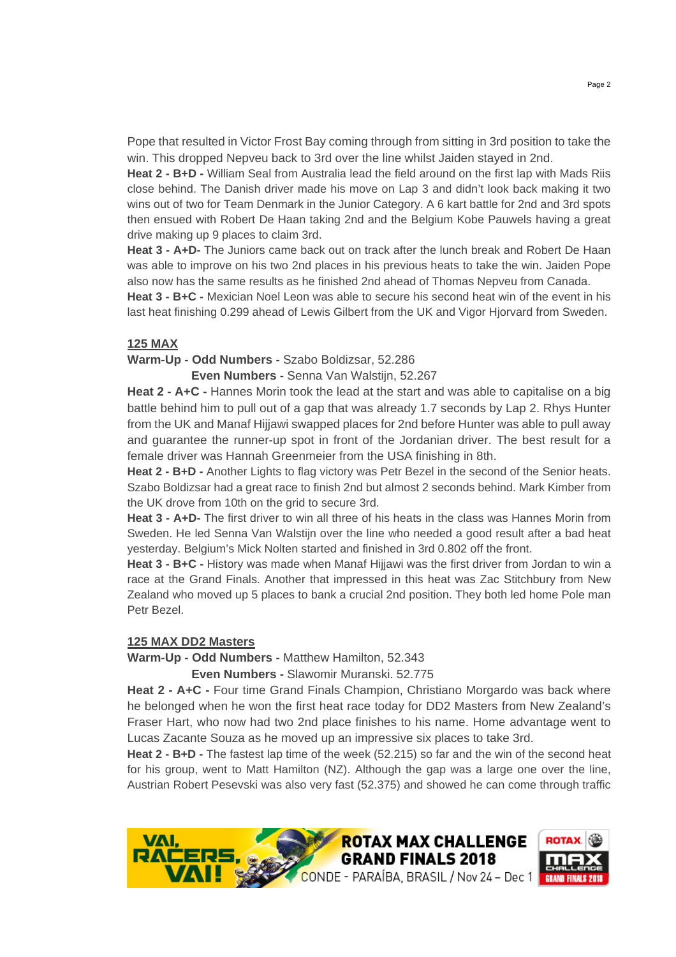Pope that resulted in Victor Frost Bay coming through from sitting in 3rd position to take the win. This dropped Nepveu back to 3rd over the line whilst Jaiden stayed in 2nd.

**Heat 2 - B+D -** William Seal from Australia lead the field around on the first lap with Mads Riis close behind. The Danish driver made his move on Lap 3 and didn't look back making it two wins out of two for Team Denmark in the Junior Category. A 6 kart battle for 2nd and 3rd spots then ensued with Robert De Haan taking 2nd and the Belgium Kobe Pauwels having a great drive making up 9 places to claim 3rd.

**Heat 3 - A+D-** The Juniors came back out on track after the lunch break and Robert De Haan was able to improve on his two 2nd places in his previous heats to take the win. Jaiden Pope also now has the same results as he finished 2nd ahead of Thomas Nepveu from Canada.

**Heat 3 - B+C -** Mexician Noel Leon was able to secure his second heat win of the event in his last heat finishing 0.299 ahead of Lewis Gilbert from the UK and Vigor Hjorvard from Sweden.

# **125 MAX**

#### **Warm-Up - Odd Numbers -** Szabo Boldizsar, 52.286

**Even Numbers -** Senna Van Walstijn, 52.267

**Heat 2 - A+C -** Hannes Morin took the lead at the start and was able to capitalise on a big battle behind him to pull out of a gap that was already 1.7 seconds by Lap 2. Rhys Hunter from the UK and Manaf Hijjawi swapped places for 2nd before Hunter was able to pull away and guarantee the runner-up spot in front of the Jordanian driver. The best result for a female driver was Hannah Greenmeier from the USA finishing in 8th.

**Heat 2 - B+D -** Another Lights to flag victory was Petr Bezel in the second of the Senior heats. Szabo Boldizsar had a great race to finish 2nd but almost 2 seconds behind. Mark Kimber from the UK drove from 10th on the grid to secure 3rd.

**Heat 3 - A+D-** The first driver to win all three of his heats in the class was Hannes Morin from Sweden. He led Senna Van Walstijn over the line who needed a good result after a bad heat yesterday. Belgium's Mick Nolten started and finished in 3rd 0.802 off the front.

**Heat 3 - B+C -** History was made when Manaf Hijjawi was the first driver from Jordan to win a race at the Grand Finals. Another that impressed in this heat was Zac Stitchbury from New Zealand who moved up 5 places to bank a crucial 2nd position. They both led home Pole man Petr Bezel.

#### **125 MAX DD2 Masters**

**Warm-Up - Odd Numbers -** Matthew Hamilton, 52.343

 **Even Numbers -** Slawomir Muranski. 52.775

**Heat 2 - A+C - Four time Grand Finals Champion, Christiano Morgardo was back where** he belonged when he won the first heat race today for DD2 Masters from New Zealand's Fraser Hart, who now had two 2nd place finishes to his name. Home advantage went to Lucas Zacante Souza as he moved up an impressive six places to take 3rd.

**Heat 2 - B+D -** The fastest lap time of the week (52.215) so far and the win of the second heat for his group, went to Matt Hamilton (NZ). Although the gap was a large one over the line, Austrian Robert Pesevski was also very fast (52.375) and showed he can come through traffic

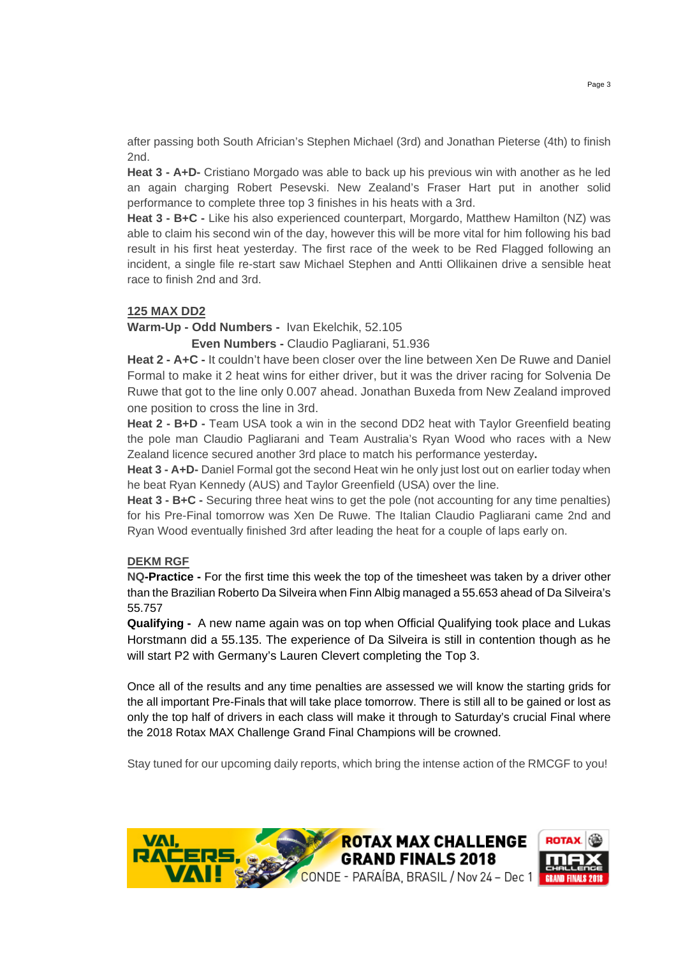after passing both South Africian's Stephen Michael (3rd) and Jonathan Pieterse (4th) to finish 2nd.

**Heat 3 - A+D-** Cristiano Morgado was able to back up his previous win with another as he led an again charging Robert Pesevski. New Zealand's Fraser Hart put in another solid performance to complete three top 3 finishes in his heats with a 3rd.

**Heat 3 - B+C -** Like his also experienced counterpart, Morgardo, Matthew Hamilton (NZ) was able to claim his second win of the day, however this will be more vital for him following his bad result in his first heat yesterday. The first race of the week to be Red Flagged following an incident, a single file re-start saw Michael Stephen and Antti Ollikainen drive a sensible heat race to finish 2nd and 3rd.

# **125 MAX DD2**

**Warm-Up - Odd Numbers -** Ivan Ekelchik, 52.105

 **Even Numbers -** Claudio Pagliarani, 51.936

**Heat 2 - A+C -** It couldn't have been closer over the line between Xen De Ruwe and Daniel Formal to make it 2 heat wins for either driver, but it was the driver racing for Solvenia De Ruwe that got to the line only 0.007 ahead. Jonathan Buxeda from New Zealand improved one position to cross the line in 3rd.

**Heat 2 - B+D -** Team USA took a win in the second DD2 heat with Taylor Greenfield beating the pole man Claudio Pagliarani and Team Australia's Ryan Wood who races with a New Zealand licence secured another 3rd place to match his performance yesterday**.** 

**Heat 3 - A+D-** Daniel Formal got the second Heat win he only just lost out on earlier today when he beat Ryan Kennedy (AUS) and Taylor Greenfield (USA) over the line.

**Heat 3 - B+C -** Securing three heat wins to get the pole (not accounting for any time penalties) for his Pre-Final tomorrow was Xen De Ruwe. The Italian Claudio Pagliarani came 2nd and Ryan Wood eventually finished 3rd after leading the heat for a couple of laps early on.

#### **DEKM RGF**

**NQ-Practice -** For the first time this week the top of the timesheet was taken by a driver other than the Brazilian Roberto Da Silveira when Finn Albig managed a 55.653 ahead of Da Silveira's 55.757

**Qualifying -** A new name again was on top when Official Qualifying took place and Lukas Horstmann did a 55.135. The experience of Da Silveira is still in contention though as he will start P2 with Germany's Lauren Clevert completing the Top 3.

Once all of the results and any time penalties are assessed we will know the starting grids for the all important Pre-Finals that will take place tomorrow. There is still all to be gained or lost as only the top half of drivers in each class will make it through to Saturday's crucial Final where the 2018 Rotax MAX Challenge Grand Final Champions will be crowned.

Stay tuned for our upcoming daily reports, which bring the intense action of the RMCGF to you!